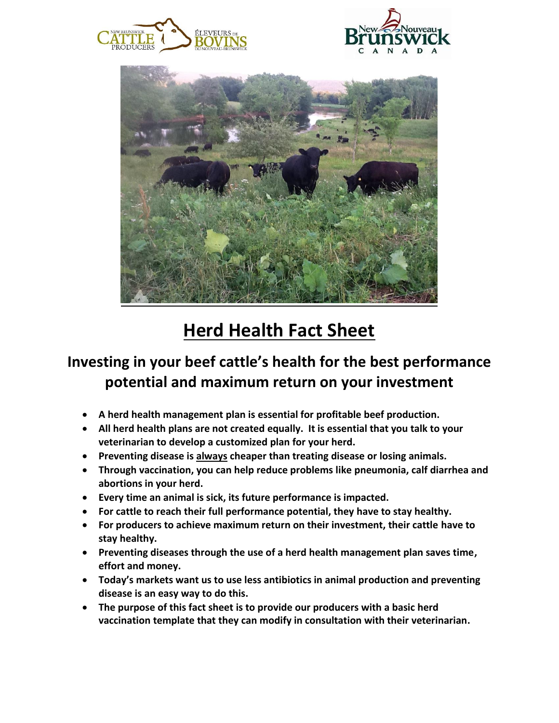





## **Herd Health Fact Sheet**

## **Investing in your beef cattle's health for the best performance potential and maximum return on your investment**

- **A herd health management plan is essential for profitable beef production.**
- **All herd health plans are not created equally. It is essential that you talk to your veterinarian to develop a customized plan for your herd.**
- **Preventing disease is always cheaper than treating disease or losing animals.**
- **Through vaccination, you can help reduce problems like pneumonia, calf diarrhea and abortions in your herd.**
- **Every time an animal is sick, its future performance is impacted.**
- **For cattle to reach their full performance potential, they have to stay healthy.**
- **For producers to achieve maximum return on their investment, their cattle have to stay healthy.**
- **Preventing diseases through the use of a herd health management plan saves time, effort and money.**
- **Today's markets want us to use less antibiotics in animal production and preventing disease is an easy way to do this.**
- **The purpose of this fact sheet is to provide our producers with a basic herd vaccination template that they can modify in consultation with their veterinarian.**